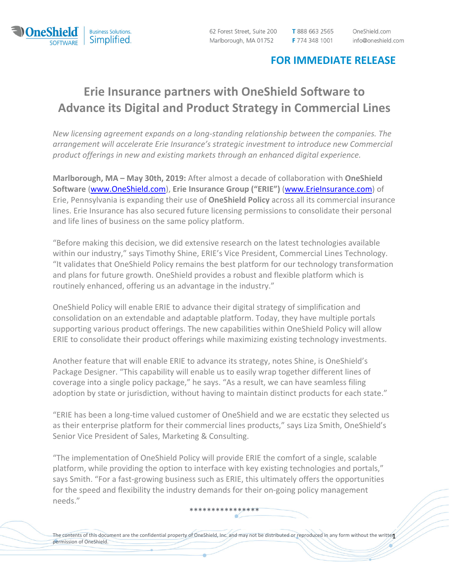

62 Forest Street, Suite 200 Marlborough, MA 01752

T 888 663 2565 F 774 348 1001 OneShield.com info@oneshield.com

## **FOR IMMEDIATE RELEASE**

## **Erie Insurance partners with OneShield Software to Advance its Digital and Product Strategy in Commercial Lines**

*New licensing agreement expands on a long‐standing relationship between the companies. The arrangement will accelerate Erie Insurance's strategic investment to introduce new Commercial product offerings in new and existing markets through an enhanced digital experience.*

**Marlborough, MA – May 30th, 2019:** After almost a decade of collaboration with **OneShield Software** (www.OneShield.com), **Erie Insurance Group ("ERIE")** (www.ErieInsurance.com) of Erie, Pennsylvania is expanding their use of **OneShield Policy** across all its commercial insurance lines. Erie Insurance has also secured future licensing permissions to consolidate their personal and life lines of business on the same policy platform.

"Before making this decision, we did extensive research on the latest technologies available within our industry," says Timothy Shine, ERIE's Vice President, Commercial Lines Technology. "It validates that OneShield Policy remains the best platform for our technology transformation and plans for future growth. OneShield provides a robust and flexible platform which is routinely enhanced, offering us an advantage in the industry."

OneShield Policy will enable ERIE to advance their digital strategy of simplification and consolidation on an extendable and adaptable platform. Today, they have multiple portals supporting various product offerings. The new capabilities within OneShield Policy will allow ERIE to consolidate their product offerings while maximizing existing technology investments.

Another feature that will enable ERIE to advance its strategy, notes Shine, is OneShield's Package Designer. "This capability will enable us to easily wrap together different lines of coverage into a single policy package," he says. "As a result, we can have seamless filing adoption by state or jurisdiction, without having to maintain distinct products for each state."

"ERIE has been a long‐time valued customer of OneShield and we are ecstatic they selected us as their enterprise platform for their commercial lines products," says Liza Smith, OneShield's Senior Vice President of Sales, Marketing & Consulting.

"The implementation of OneShield Policy will provide ERIE the comfort of a single, scalable platform, while providing the option to interface with key existing technologies and portals," says Smith. "For a fast-growing business such as ERIE, this ultimately offers the opportunities for the speed and flexibility the industry demands for their on-going policy management needs."

The contents of this document are the confidential property of OneShield, Inc. and may not be distributed or reproduced in any form without the writte $\mathbf{1}$ permission of OneShield.

\*\*\*\*\*\*\*\*\*\*\*\*\*\*\*